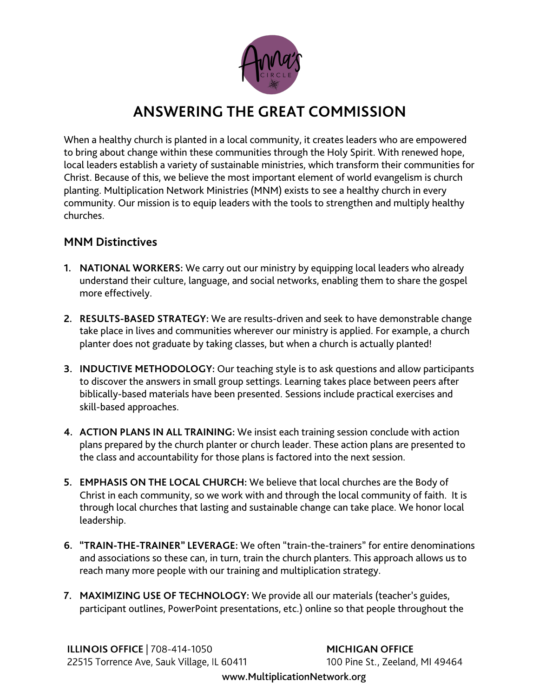

## **ANSWERING THE GREAT COMMISSION**

When a healthy church is planted in a local community, it creates leaders who are empowered to bring about change within these communities through the Holy Spirit. With renewed hope, local leaders establish a variety of sustainable ministries, which transform their communities for Christ. Because of this, we believe the most important element of world evangelism is church planting. Multiplication Network Ministries (MNM) exists to see a healthy church in every community. Our mission is to equip leaders with the tools to strengthen and multiply healthy churches.

## **MNM Distinctives**

- **1. NATIONAL WORKERS:** We carry out our ministry by equipping local leaders who already understand their culture, language, and social networks, enabling them to share the gospel more effectively.
- **2. RESULTS-BASED STRATEGY:** We are results-driven and seek to have demonstrable change take place in lives and communities wherever our ministry is applied. For example, a church planter does not graduate by taking classes, but when a church is actually planted!
- **3. INDUCTIVE METHODOLOGY:** Our teaching style is to ask questions and allow participants to discover the answers in small group settings. Learning takes place between peers after biblically-based materials have been presented. Sessions include practical exercises and skill-based approaches.
- **4. ACTION PLANS IN ALL TRAINING:** We insist each training session conclude with action plans prepared by the church planter or church leader. These action plans are presented to the class and accountability for those plans is factored into the next session.
- **5. EMPHASIS ON THE LOCAL CHURCH:** We believe that local churches are the Body of Christ in each community, so we work with and through the local community of faith. It is through local churches that lasting and sustainable change can take place. We honor local leadership.
- **6. "TRAIN-THE-TRAINER" LEVERAGE:** We often "train-the-trainers" for entire denominations and associations so these can, in turn, train the church planters. This approach allows us to reach many more people with our training and multiplication strategy.
- **7. MAXIMIZING USE OF TECHNOLOGY:** We provide all our materials (teacher's guides, participant outlines, PowerPoint presentations, etc.) online so that people throughout the